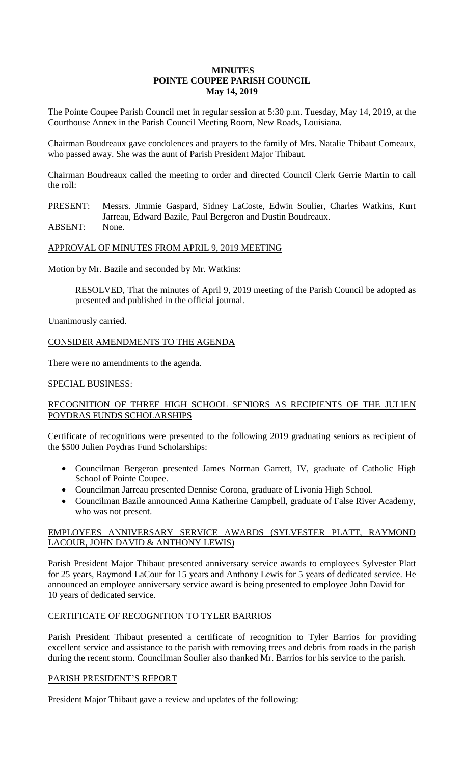# **MINUTES POINTE COUPEE PARISH COUNCIL May 14, 2019**

The Pointe Coupee Parish Council met in regular session at 5:30 p.m. Tuesday, May 14, 2019, at the Courthouse Annex in the Parish Council Meeting Room, New Roads, Louisiana.

Chairman Boudreaux gave condolences and prayers to the family of Mrs. Natalie Thibaut Comeaux, who passed away. She was the aunt of Parish President Major Thibaut.

Chairman Boudreaux called the meeting to order and directed Council Clerk Gerrie Martin to call the roll:

PRESENT: Messrs. Jimmie Gaspard, Sidney LaCoste, Edwin Soulier, Charles Watkins, Kurt Jarreau, Edward Bazile, Paul Bergeron and Dustin Boudreaux.

ABSENT: None.

# APPROVAL OF MINUTES FROM APRIL 9, 2019 MEETING

Motion by Mr. Bazile and seconded by Mr. Watkins:

RESOLVED, That the minutes of April 9, 2019 meeting of the Parish Council be adopted as presented and published in the official journal.

Unanimously carried.

CONSIDER AMENDMENTS TO THE AGENDA

There were no amendments to the agenda.

# SPECIAL BUSINESS:

# RECOGNITION OF THREE HIGH SCHOOL SENIORS AS RECIPIENTS OF THE JULIEN POYDRAS FUNDS SCHOLARSHIPS

Certificate of recognitions were presented to the following 2019 graduating seniors as recipient of the \$500 Julien Poydras Fund Scholarships:

- Councilman Bergeron presented James Norman Garrett, IV, graduate of Catholic High School of Pointe Coupee.
- Councilman Jarreau presented Dennise Corona, graduate of Livonia High School.
- Councilman Bazile announced Anna Katherine Campbell, graduate of False River Academy, who was not present.

# EMPLOYEES ANNIVERSARY SERVICE AWARDS (SYLVESTER PLATT, RAYMOND LACOUR, JOHN DAVID & ANTHONY LEWIS)

Parish President Major Thibaut presented anniversary service awards to employees Sylvester Platt for 25 years, Raymond LaCour for 15 years and Anthony Lewis for 5 years of dedicated service. He announced an employee anniversary service award is being presented to employee John David for 10 years of dedicated service.

# CERTIFICATE OF RECOGNITION TO TYLER BARRIOS

Parish President Thibaut presented a certificate of recognition to Tyler Barrios for providing excellent service and assistance to the parish with removing trees and debris from roads in the parish during the recent storm. Councilman Soulier also thanked Mr. Barrios for his service to the parish.

# PARISH PRESIDENT'S REPORT

President Major Thibaut gave a review and updates of the following: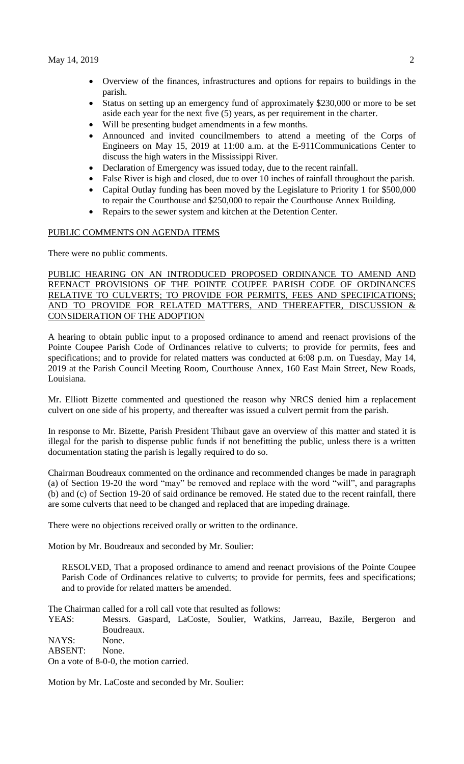- Overview of the finances, infrastructures and options for repairs to buildings in the parish.
- Status on setting up an emergency fund of approximately \$230,000 or more to be set aside each year for the next five (5) years, as per requirement in the charter.
- Will be presenting budget amendments in a few months.
- Announced and invited councilmembers to attend a meeting of the Corps of Engineers on May 15, 2019 at 11:00 a.m. at the E-911Communications Center to discuss the high waters in the Mississippi River.
- Declaration of Emergency was issued today, due to the recent rainfall.
- False River is high and closed, due to over 10 inches of rainfall throughout the parish.
- Capital Outlay funding has been moved by the Legislature to Priority 1 for \$500,000 to repair the Courthouse and \$250,000 to repair the Courthouse Annex Building.
- Repairs to the sewer system and kitchen at the Detention Center.

# PUBLIC COMMENTS ON AGENDA ITEMS

There were no public comments.

PUBLIC HEARING ON AN INTRODUCED PROPOSED ORDINANCE TO AMEND AND REENACT PROVISIONS OF THE POINTE COUPEE PARISH CODE OF ORDINANCES RELATIVE TO CULVERTS; TO PROVIDE FOR PERMITS, FEES AND SPECIFICATIONS; AND TO PROVIDE FOR RELATED MATTERS, AND THEREAFTER, DISCUSSION CONSIDERATION OF THE ADOPTION

A hearing to obtain public input to a proposed ordinance to amend and reenact provisions of the Pointe Coupee Parish Code of Ordinances relative to culverts; to provide for permits, fees and specifications; and to provide for related matters was conducted at 6:08 p.m. on Tuesday, May 14, 2019 at the Parish Council Meeting Room, Courthouse Annex, 160 East Main Street, New Roads, Louisiana.

Mr. Elliott Bizette commented and questioned the reason why NRCS denied him a replacement culvert on one side of his property, and thereafter was issued a culvert permit from the parish.

In response to Mr. Bizette, Parish President Thibaut gave an overview of this matter and stated it is illegal for the parish to dispense public funds if not benefitting the public, unless there is a written documentation stating the parish is legally required to do so.

Chairman Boudreaux commented on the ordinance and recommended changes be made in paragraph (a) of Section 19-20 the word "may" be removed and replace with the word "will", and paragraphs (b) and (c) of Section 19-20 of said ordinance be removed. He stated due to the recent rainfall, there are some culverts that need to be changed and replaced that are impeding drainage.

There were no objections received orally or written to the ordinance.

Motion by Mr. Boudreaux and seconded by Mr. Soulier:

RESOLVED, That a proposed ordinance to amend and reenact provisions of the Pointe Coupee Parish Code of Ordinances relative to culverts; to provide for permits, fees and specifications; and to provide for related matters be amended.

The Chairman called for a roll call vote that resulted as follows:

YEAS: Messrs. Gaspard, LaCoste, Soulier, Watkins, Jarreau, Bazile, Bergeron and Boudreaux.

NAYS: None. ABSENT: None.

On a vote of 8-0-0, the motion carried.

Motion by Mr. LaCoste and seconded by Mr. Soulier: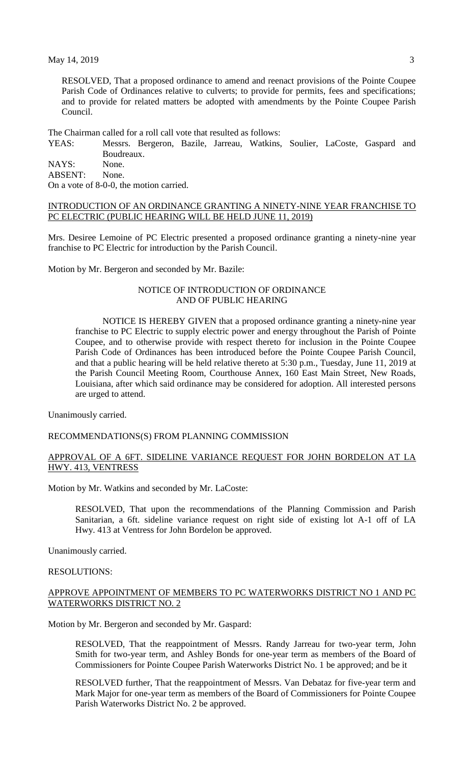$\text{May } 14, 2019$  3

RESOLVED, That a proposed ordinance to amend and reenact provisions of the Pointe Coupee Parish Code of Ordinances relative to culverts; to provide for permits, fees and specifications; and to provide for related matters be adopted with amendments by the Pointe Coupee Parish Council.

The Chairman called for a roll call vote that resulted as follows:

YEAS: Messrs. Bergeron, Bazile, Jarreau, Watkins, Soulier, LaCoste, Gaspard and Boudreaux. NAYS: None.

ABSENT: None.

On a vote of 8-0-0, the motion carried.

#### INTRODUCTION OF AN ORDINANCE GRANTING A NINETY-NINE YEAR FRANCHISE TO PC ELECTRIC (PUBLIC HEARING WILL BE HELD JUNE 11, 2019)

Mrs. Desiree Lemoine of PC Electric presented a proposed ordinance granting a ninety-nine year franchise to PC Electric for introduction by the Parish Council.

Motion by Mr. Bergeron and seconded by Mr. Bazile:

### NOTICE OF INTRODUCTION OF ORDINANCE AND OF PUBLIC HEARING

NOTICE IS HEREBY GIVEN that a proposed ordinance granting a ninety-nine year franchise to PC Electric to supply electric power and energy throughout the Parish of Pointe Coupee, and to otherwise provide with respect thereto for inclusion in the Pointe Coupee Parish Code of Ordinances has been introduced before the Pointe Coupee Parish Council, and that a public hearing will be held relative thereto at 5:30 p.m., Tuesday, June 11, 2019 at the Parish Council Meeting Room, Courthouse Annex, 160 East Main Street, New Roads, Louisiana, after which said ordinance may be considered for adoption. All interested persons are urged to attend.

Unanimously carried.

#### RECOMMENDATIONS(S) FROM PLANNING COMMISSION

#### APPROVAL OF A 6FT. SIDELINE VARIANCE REQUEST FOR JOHN BORDELON AT LA HWY. 413, VENTRESS

Motion by Mr. Watkins and seconded by Mr. LaCoste:

RESOLVED, That upon the recommendations of the Planning Commission and Parish Sanitarian, a 6ft. sideline variance request on right side of existing lot A-1 off of LA Hwy. 413 at Ventress for John Bordelon be approved.

Unanimously carried.

# RESOLUTIONS:

#### APPROVE APPOINTMENT OF MEMBERS TO PC WATERWORKS DISTRICT NO 1 AND PC WATERWORKS DISTRICT NO. 2

Motion by Mr. Bergeron and seconded by Mr. Gaspard:

RESOLVED, That the reappointment of Messrs. Randy Jarreau for two-year term, John Smith for two-year term, and Ashley Bonds for one-year term as members of the Board of Commissioners for Pointe Coupee Parish Waterworks District No. 1 be approved; and be it

RESOLVED further, That the reappointment of Messrs. Van Debataz for five-year term and Mark Major for one-year term as members of the Board of Commissioners for Pointe Coupee Parish Waterworks District No. 2 be approved.